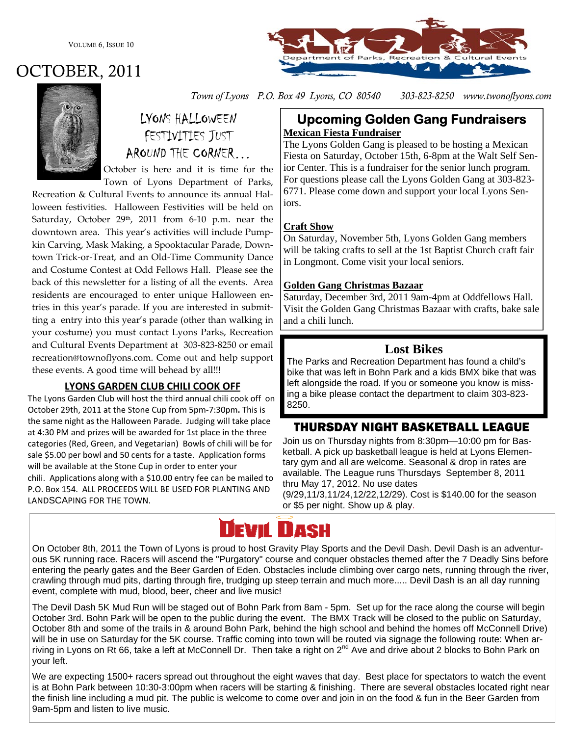VOLUME 6, ISSUE 10





# LYONS HALLOWEEN FESTIVITIES JUST AROUND THE CORNER…

October is here and it is time for the Town of Lyons Department of Parks,

Recreation & Cultural Events to announce its annual Hal‐ loween festivities. Halloween Festivities will be held on Saturday, October 29<sup>th</sup>, 2011 from 6-10 p.m. near the downtown area. This year's activities will include Pump‐ kin Carving, Mask Making, a Spooktacular Parade, Down‐ town Trick‐or‐Treat, and an Old‐Time Community Dance and Costume Contest at Odd Fellows Hall. Please see the back of this newsletter for a listing of all the events. Area residents are encouraged to enter unique Halloween en‐ tries in this year's parade. If you are interested in submit‐ ting a entry into this year's parade (other than walking in your costume) you must contact Lyons Parks, Recreation and Cultural Events Department at 303‐823‐8250 or email recreation@townoflyons.com. Come out and help support these events. A good time will behead by all!!!

#### **LYONS GARDEN CLUB CHILI COOK OFF**

The Lyons Garden Club will host the third annual chili cook off on October 29th, 2011 at the Stone Cup from 5pm‐7:30pm**.** This is the same night as the Halloween Parade. Judging will take place at 4:30 PM and prizes will be awarded for 1st place in the three categories (Red, Green, and Vegetarian) Bowls of chili will be for sale \$5.00 per bowl and 50 cents for a taste. Application forms will be available at the Stone Cup in order to enter your chili. Applications along with a \$10.00 entry fee can be mailed to P.O. Box 154. ALL PROCEEDS WILL BE USED FOR PLANTING AND LANDSCAPING FOR THE TOWN.

# *Town of Lyons P.O. Box 49 Lyons, CO 80540 303-823-8250 www.twonoflyons.com*

#### **Upcoming Golden Gang Fundraisers Mexican Fiesta Fundraiser**

The Lyons Golden Gang is pleased to be hosting a Mexican Fiesta on Saturday, October 15th, 6-8pm at the Walt Self Senior Center. This is a fundraiser for the senior lunch program. For questions please call the Lyons Golden Gang at 303-823- 6771. Please come down and support your local Lyons Seniors.

#### **Craft Show**

On Saturday, November 5th, Lyons Golden Gang members will be taking crafts to sell at the 1st Baptist Church craft fair in Longmont. Come visit your local seniors.

#### **Golden Gang Christmas Bazaar**

Saturday, December 3rd, 2011 9am-4pm at Oddfellows Hall. Visit the Golden Gang Christmas Bazaar with crafts, bake sale and a chili lunch.

### **Lost Bikes**

The Parks and Recreation Department has found a child's bike that was left in Bohn Park and a kids BMX bike that was left alongside the road. If you or someone you know is missing a bike please contact the department to claim 303-823- 8250.

## THURSDAY NIGHT BASKETBALL LEAGUE

Join us on Thursday nights from 8:30pm—10:00 pm for Basketball. A pick up basketball league is held at Lyons Elementary gym and all are welcome. Seasonal & drop in rates are available. The League runs Thursdays September 8, 2011 thru May 17, 2012. No use dates

(9/29,11/3,11/24,12/22,12/29). Cost is \$140.00 for the season or \$5 per night. Show up & play.

#### Devni LLASH

On October 8th, 2011 the Town of Lyons is proud to host Gravity Play Sports and the Devil Dash. Devil Dash is an adventurous 5K running race. Racers will ascend the "Purgatory" course and conquer obstacles themed after the 7 Deadly Sins before entering the pearly gates and the Beer Garden of Eden. Obstacles include climbing over cargo nets, running through the river, crawling through mud pits, darting through fire, trudging up steep terrain and much more..... Devil Dash is an all day running event, complete with mud, blood, beer, cheer and live music!

The Devil Dash 5K Mud Run will be staged out of Bohn Park from 8am - 5pm. Set up for the race along the course will begin October 3rd. Bohn Park will be open to the public during the event. The BMX Track will be closed to the public on Saturday, October 8th and some of the trails in & around Bohn Park, behind the high school and behind the homes off McConnell Drive) will be in use on Saturday for the 5K course. Traffic coming into town will be routed via signage the following route: When arriving in Lyons on Rt 66, take a left at McConnell Dr. Then take a right on 2<sup>nd</sup> Ave and drive about 2 blocks to Bohn Park on your left.

We are expecting 1500+ racers spread out throughout the eight waves that day. Best place for spectators to watch the event is at Bohn Park between 10:30-3:00pm when racers will be starting & finishing. There are several obstacles located right near the finish line including a mud pit. The public is welcome to come over and join in on the food & fun in the Beer Garden from 9am-5pm and listen to live music.